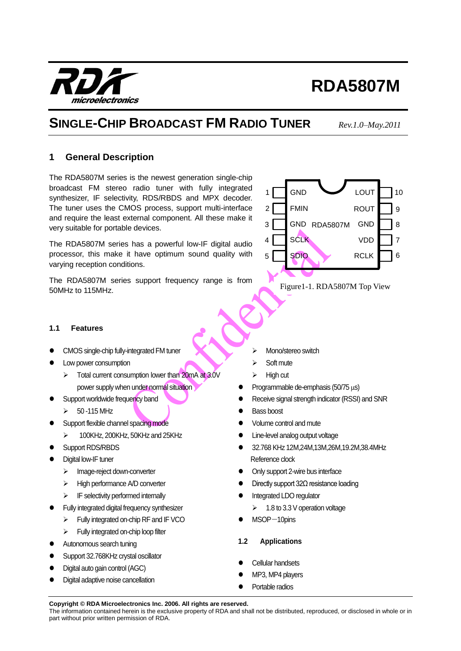The information contained herein is the exclusive property of RDA and shall not be distributed, reproduced, or disclosed in whole or in part without prior written permission of RDA.

# **RDA5807M**

## **SINGLE-CHIP BROADCAST FM RADIO TUNER** *Rev.1.0–May.2011*

## <span id="page-0-0"></span>**1 General Description**

The RDA5807M series is the newest generation single-chip broadcast FM stereo radio tuner with fully integrated synthesizer, IF selectivity, RDS/RBDS and MPX decoder. The tuner uses the CMOS process, support multi-interface and require the least external component. All these make it very suitable for portable devices.

The RDA5807M series has a powerful low-IF digital audio processor, this make it have optimum sound quality with varying reception conditions.

The RDA5807M series support frequency range is from 50MHz to 115MHz.

- CMOS single-chip fully-integrated FM tuner
- Low power consumption

<span id="page-0-1"></span>**1.1 Features**

- $\triangleright$  Total current consumption lower than 20mA at 3.0V power supply when under normal situation
- Support worldwide frequency band
	- $\triangleright$  50 -115 MHz
- Support flexible channel spacing mode
	- $\geq$  100KHz, 200KHz, 50KHz and 25KHz
- Support RDS/RBDS
- Digital low-IF tuner
	- > Image-reject down-converter
	- $\triangleright$  High performance A/D converter
	- $\triangleright$  IF selectivity performed internally
- Fully integrated digital frequency synthesizer
	- Fully integrated on-chip RF and IF VCO
	- $\triangleright$  Fully integrated on-chip loop filter
- Autonomous search tuning
- Support 32.768KHz crystal oscillator
- Digital auto gain control (AGC)
- Digital adaptive noise cancellation
- Mono/stereo switch
- $\triangleright$  Soft mute
- $\triangleright$  High cut
- Programmable de-emphasis ( $50/75 \mu s$ )
- Receive signal strength indicator (RSSI) and SNR
- Bass boost
- Volume control and mute
- Line-level analog output voltage
- 32.768 KHz 12M,24M,13M,26M,19.2M,38.4MHz Reference clock
- Only support 2-wire bus interface
- Directly support 32Ω resistance loading
- Integrated LDO regulator
	- $\geq$  1.8 to 3.3 V operation voltage
- MSOP-10pins
- <span id="page-0-2"></span>**1.2 Applications**
- Cellular handsets
- MP3, MP4 players
- Portable radios

microelectronics

7 8 9 1 GND COUT 10 2 3 4 GND RDA5807M **ROUT** GND VDD **GND** FMIN SCLK

Figure1-1. RDA5807M Top View

6 RCLK SDIO



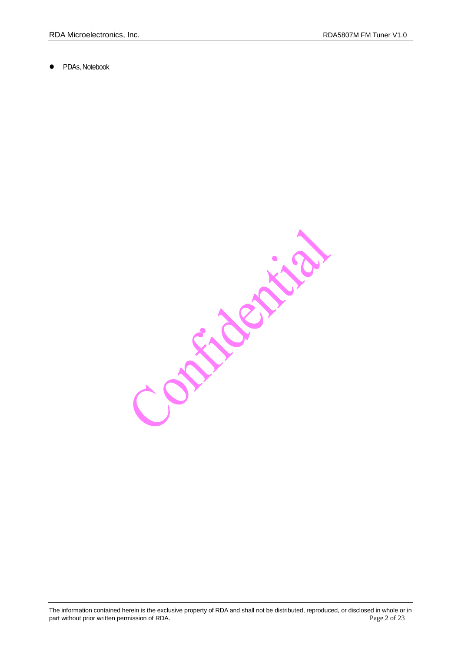PDAs, Notebook

Contraction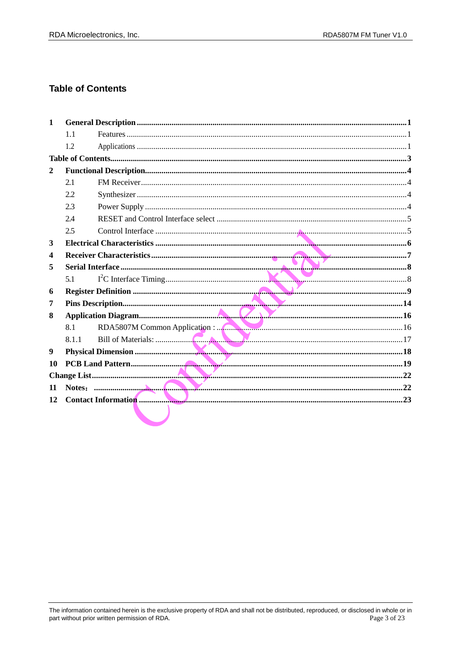## <span id="page-2-0"></span>**Table of Contents**

| $\mathbf{1}$ |       |  |
|--------------|-------|--|
|              | 1.1   |  |
|              | 1.2   |  |
|              |       |  |
| $\mathbf{2}$ |       |  |
|              | 2.1   |  |
|              | 2.2   |  |
|              | 2.3   |  |
|              | 2.4   |  |
|              | 2.5   |  |
| 3            |       |  |
| 4            |       |  |
| 5            |       |  |
|              | 5.1   |  |
| 6            |       |  |
| 7            |       |  |
| 8            |       |  |
|              | 8.1   |  |
|              | 8.1.1 |  |
| 9            |       |  |
| 10           |       |  |
|              |       |  |
| 11           |       |  |
| 12           |       |  |
|              |       |  |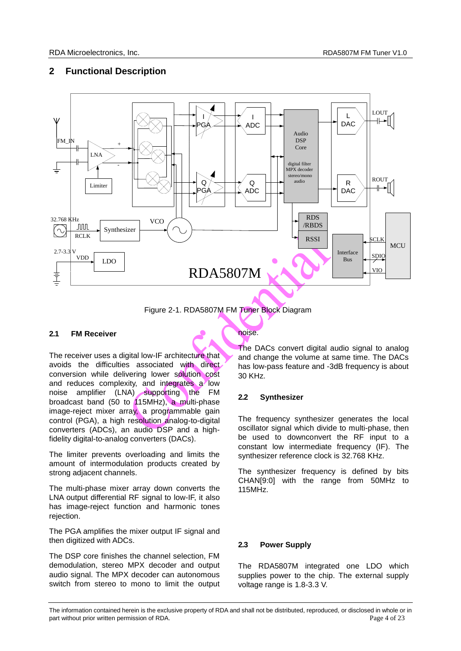## <span id="page-3-0"></span>**2 Functional Description**



Figure 2-1. RDA5807M FM Tuner Block Diagram

## <span id="page-3-1"></span>**2.1 FM Receiver**

The receiver uses a digital low-IF architecture that avoids the difficulties associated with direct conversion while delivering lower solution cost and reduces complexity, and integrates a low noise amplifier (LNA) supporting the FM broadcast band (50 to 115MHz), a multi-phase image-reject mixer array, a programmable gain control (PGA), a high resolution analog-to-digital converters (ADCs), an audio DSP and a highfidelity digital-to-analog converters (DACs).

The limiter prevents overloading and limits the amount of intermodulation products created by strong adjacent channels.

The multi-phase mixer array down converts the LNA output differential RF signal to low-IF, it also has image-reject function and harmonic tones rejection.

The PGA amplifies the mixer output IF signal and then digitized with ADCs.

The DSP core finishes the channel selection, FM demodulation, stereo MPX decoder and output audio signal. The MPX decoder can autonomous switch from stereo to mono to limit the output

## noise.

The DACs convert digital audio signal to analog and change the volume at same time. The DACs has low-pass feature and -3dB frequency is about 30 KHz.

## <span id="page-3-2"></span>**2.2 Synthesizer**

The frequency synthesizer generates the local oscillator signal which divide to multi-phase, then be used to downconvert the RF input to a constant low intermediate frequency (IF). The synthesizer reference clock is 32.768 KHz.

The synthesizer frequency is defined by bits CHAN[9:0] with the range from 50MHz to 115MHz.

## <span id="page-3-3"></span>**2.3 Power Supply**

The RDA5807M integrated one LDO which supplies power to the chip. The external supply voltage range is 1.8-3.3 V.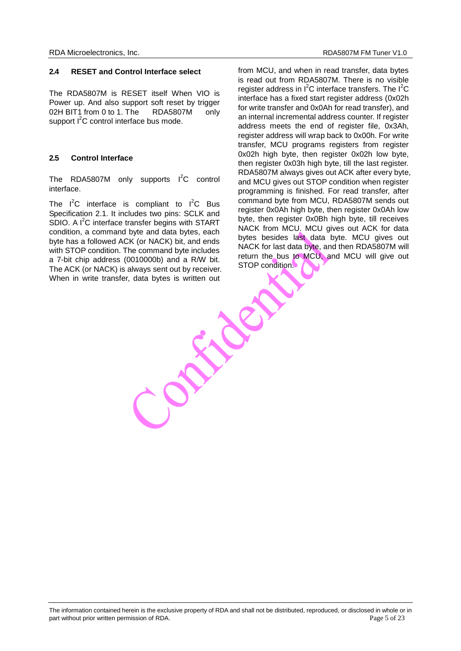#### <span id="page-4-0"></span>**2.4 RESET and Control Interface select**

The RDA5807M is RESET itself When VIO is Power up. And also support soft reset by trigger 02H BIT1 from 0 to 1. The RDA5807M only support  $I^2C$  control interface bus mode.

## <span id="page-4-1"></span>**2.5 Control Interface**

The RDA5807M only supports  $I^2C$  control interface.

The  $I^2C$  interface is compliant to  $I^2C$  Bus Specification 2.1. It includes two pins: SCLK and SDIO. A  $I^2C$  interface transfer begins with START condition, a command byte and data bytes, each byte has a followed ACK (or NACK) bit, and ends with STOP condition. The command byte includes a 7-bit chip address (0010000b) and a R/W bit. The ACK (or NACK) is always sent out by receiver. When in write transfer, data bytes is written out

from MCU, and when in read transfer, data bytes is read out from RDA5807M. There is no visible register address in  $I^2C$  interface transfers. The  $I^2C$ interface has a fixed start register address (0x02h for write transfer and 0x0Ah for read transfer), and an internal incremental address counter. If register address meets the end of register file, 0x3Ah, register address will wrap back to 0x00h. For write transfer, MCU programs registers from register 0x02h high byte, then register 0x02h low byte, then register 0x03h high byte, till the last register. RDA5807M always gives out ACK after every byte, and MCU gives out STOP condition when register programming is finished. For read transfer, after command byte from MCU, RDA5807M sends out register 0x0Ah high byte, then register 0x0Ah low byte, then register 0x0Bh high byte, till receives NACK from MCU. MCU gives out ACK for data bytes besides last data byte. MCU gives out NACK for last data byte, and then RDA5807M will return the bus to MCU, and MCU will give out STOP condition.

FRE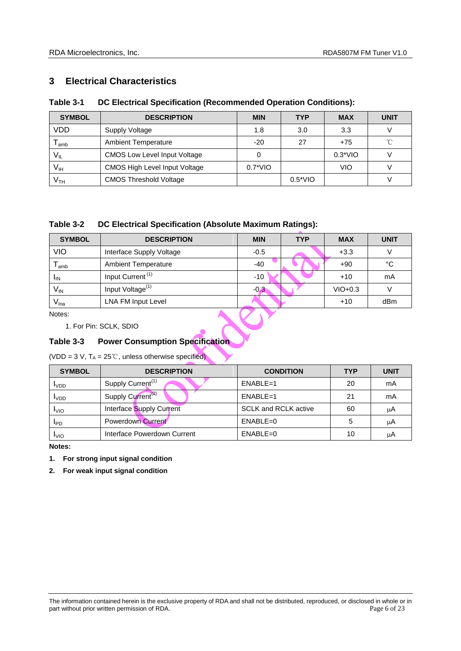## <span id="page-5-0"></span>**3 Electrical Characteristics**

## **Table 3-1 DC Electrical Specification (Recommended Operation Conditions):**

| <b>SYMBOL</b>               | <b>DESCRIPTION</b>                   | <b>MIN</b>  | <b>TYP</b>  | <b>MAX</b> | <b>UNIT</b> |
|-----------------------------|--------------------------------------|-------------|-------------|------------|-------------|
| VDD                         | Supply Voltage                       | 1.8         | 3.0         | 3.3        |             |
| $\mathsf{T}_{\mathsf{amb}}$ | <b>Ambient Temperature</b>           | $-20$       | 27          | $+75$      | °C          |
| $V_{IL}$                    | <b>CMOS Low Level Input Voltage</b>  |             |             | $0.3*VIO$  |             |
| $\mathsf{V}_{\mathsf{IH}}$  | <b>CMOS High Level Input Voltage</b> | $0.7^*$ VIO |             | VIO        |             |
| V <sub>TH</sub>             | <b>CMOS Threshold Voltage</b>        |             | $0.5^*$ VIO |            |             |

## **Table 3-2 DC Electrical Specification (Absolute Maximum Ratings):**

| <b>SYMBOL</b>              | <b>DESCRIPTION</b>           | <b>MIN</b> | <b>TYP</b> | <b>MAX</b> | <b>UNIT</b> |
|----------------------------|------------------------------|------------|------------|------------|-------------|
| VIO                        | Interface Supply Voltage     | $-0.5$     |            | $+3.3$     |             |
| <sup>l</sup> amb           | <b>Ambient Temperature</b>   | $-40$      |            | $+90$      | $^{\circ}C$ |
| <sup>I</sup> IN            | Input Current <sup>(1)</sup> | $-10$      |            | $+10$      | mA          |
| $\mathsf{V}_{\mathsf{IN}}$ | Input Voltage <sup>(1)</sup> | $-0.3$     |            | $VIO+0.3$  |             |
| V <sub>lna</sub>           | LNA FM Input Level           |            |            | $+10$      | dBm         |

Notes:

1. For Pin: SCLK, SDIO

## **Table 3-3 Power Consumption Specification**

(VDD = 3 V,  $T_A = 25^\circ\text{C}$ , unless otherwise specified)

| <b>SYMBOL</b>    | <b>DESCRIPTION</b>            | <b>CONDITION</b>            | <b>TYP</b> | <b>UNIT</b> |
|------------------|-------------------------------|-----------------------------|------------|-------------|
| <b>I</b> VDD     | Supply Current <sup>(1)</sup> | $ENABLE=1$                  | 20         | mA          |
| I <sub>VDD</sub> | Supply Current <sup>(2)</sup> | $ENABLE=1$                  | 21         | mA          |
| <b>I</b> VIO     | Interface Supply Current      | <b>SCLK and RCLK active</b> | 60         | μA          |
| <b>IPD</b>       | Powerdown Current             | $ENABLE = 0$                | 5          | μA          |
| <b>I</b> VIO     | Interface Powerdown Current   | $ENABLE = 0$                | 10         | μA          |

**Notes:**

**1. For strong input signal condition**

**2. For weak input signal condition**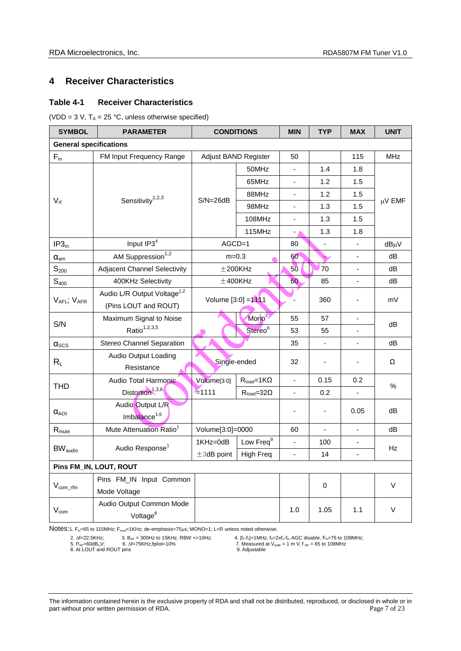## <span id="page-6-0"></span>**4 Receiver Characteristics**

## **Table 4-1 Receiver Characteristics**

(VDD = 3 V,  $T_A$  = 25 °C, unless otherwise specified)

| <b>SYMBOL</b>                      | <b>PARAMETER</b>                        | <b>CONDITIONS</b>    |                       | <b>MIN</b>               | <b>TYP</b>     | <b>MAX</b>                   | <b>UNIT</b> |  |
|------------------------------------|-----------------------------------------|----------------------|-----------------------|--------------------------|----------------|------------------------------|-------------|--|
| <b>General specifications</b>      |                                         |                      |                       |                          |                |                              |             |  |
| $F_{in}$                           | FM Input Frequency Range                | Adjust BAND Register |                       | 50                       |                | 115                          | <b>MHz</b>  |  |
|                                    |                                         |                      | 50MHz                 | $\blacksquare$           | 1.4            | 1.8                          |             |  |
|                                    |                                         |                      | 65MHz                 | $\blacksquare$           | 1.2            | 1.5                          |             |  |
|                                    |                                         |                      | 88MHz                 | $\blacksquare$           | 1.2            | 1.5                          |             |  |
| $V_{rf}$                           | Sensitivity <sup>1,2,3</sup>            | $S/N = 26dB$         | 98MHz                 | $\overline{\phantom{a}}$ | 1.3            | 1.5                          | μV EMF      |  |
|                                    |                                         |                      | 108MHz                | $\blacksquare$           | 1.3            | 1.5                          |             |  |
|                                    |                                         |                      | 115MHz                | - 1                      | 1.3            | 1.8                          |             |  |
| IP3 <sub>in</sub>                  | Input IP3 <sup>4</sup>                  | $AGCD=1$             |                       | 80                       | $\blacksquare$ | $\frac{1}{2}$                | $dB\mu V$   |  |
| $\alpha_{\text{am}}$               | AM Suppression <sup>1,2</sup>           | $m=0.3$              |                       | 60                       |                |                              | dB          |  |
| $\mathbb{S}_{200}$                 | <b>Adjacent Channel Selectivity</b>     |                      | $±200$ KHz            | 50                       | 70             |                              | dB          |  |
| S <sub>400</sub>                   | 400KHz Selectivity                      |                      | $±400$ KHz            | 60                       | 85             | $\blacksquare$               | dB          |  |
|                                    | Audio L/R Output Voltage <sup>1,2</sup> | Volume [3:0] = 1111  |                       |                          | 360            |                              | mV          |  |
| $V_{AFL}$ ; $V_{AFR}$              | (Pins LOUT and ROUT)                    |                      |                       |                          |                |                              |             |  |
| S/N                                | Maximum Signal to Noise                 |                      | Mono <sup>2</sup>     | 55                       | 57             | $\overline{\phantom{a}}$     | dB          |  |
|                                    | Ratio <sup>1,2,3,5</sup>                |                      | Stereo <sup>6</sup>   | 53                       | 55             |                              |             |  |
| $\alpha_{\scriptscriptstyle{SCS}}$ | <b>Stereo Channel Separation</b>        |                      |                       | 35                       | $\blacksquare$ | $\blacksquare$               | dB          |  |
|                                    | Audio Output Loading                    | Single-ended         |                       | 32                       |                |                              | Ω           |  |
| $R_L$                              | Resistance                              |                      |                       |                          |                |                              |             |  |
| <b>THD</b>                         | Audio Total Harmonic                    | Volume[3:0]          | $R_{load} = 1K\Omega$ | $\blacksquare$           | 0.15           | 0.2                          | ℅           |  |
|                                    | Distortion <sup>1,3,6</sup>             | $= 1111$             | $R_{load} = 32\Omega$ | $\blacksquare$           | 0.2            |                              |             |  |
|                                    | Audio Output L/R                        |                      |                       | $\overline{\phantom{a}}$ | $\blacksquare$ | 0.05                         | dB          |  |
| $\alpha_{AOI}$                     | Imbalance <sup>1,6</sup>                |                      |                       |                          |                |                              |             |  |
| $R_{\text{mute}}$                  | Mute Attenuation Ratio <sup>1</sup>     | Volume[3:0]=0000     |                       | 60                       | $\Box$         | $\overline{\phantom{a}}$     | dB          |  |
| <b>BW</b> <sub>audio</sub>         | Audio Response <sup>1</sup>             | 1KHz=0dB             | Low Freq <sup>9</sup> | ä,                       | 100            |                              | Hz          |  |
|                                    |                                         | $\pm 3$ dB point     | <b>High Freq</b>      | $\blacksquare$           | 14             | $\qquad \qquad \blacksquare$ |             |  |
|                                    | Pins FM_IN, LOUT, ROUT                  |                      |                       |                          |                |                              |             |  |
|                                    | Pins FM_IN Input Common                 |                      |                       |                          | 0              |                              | V           |  |
| $V_{\text{com\_rfin}}$             | Mode Voltage                            |                      |                       |                          |                |                              |             |  |
| $V_{\text{com}}$                   | Audio Output Common Mode                |                      |                       | 1.0                      |                |                              | V           |  |
|                                    | Voltage <sup>8</sup>                    |                      |                       |                          | 1.05           | 1.1                          |             |  |

Notes:1. F<sub>in</sub>=65 to 115MHz; F<sub>mod</sub>=1KHz; de-emphasis=75µs; MONO=1; L=R unless noted otherwise;

2.  $\Delta f = 22.5 \text{K} \text{Hz}$ ; 3. B<sub>AF</sub> = 300Hz to 15KHz, RBW <=10Hz; 4.  $|f_2-f_1| > 1$ MHz,  $f_0 = 2x f_1 - f_2$ , AGC disable, F<sub>in</sub>=76 to 108MHz; 5. P<sub>RF</sub>=60to 108MHz, 6.  $\Delta f = 75 \text{K} \text{Hz}$ ,  $\Delta f = 75 \text{K} \text{Hz}$ ,  $\Delta f = 75 \text{K} \text{Hz$ 

 $B = P_{RF} = 60dB_U V;$ <br>
8. At LOUT and ROUT pins

<sup>7.</sup> Measured at  $V_{EMF} = 1$  m V,  $f_{RF} = 65$  to 108MHz<br>9. Adjustable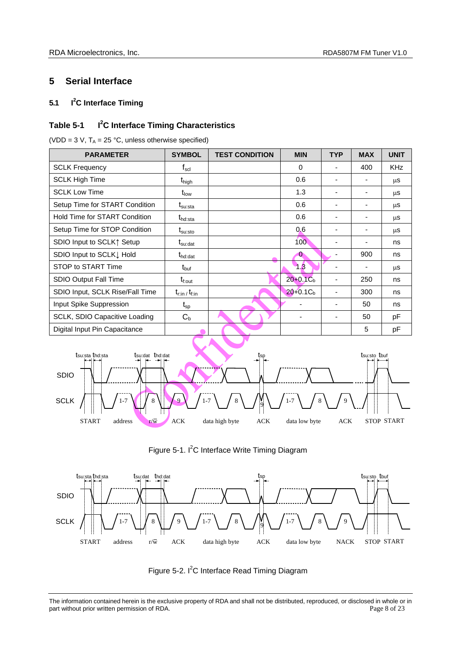## <span id="page-7-0"></span>**5 Serial Interface**

#### <span id="page-7-1"></span>**5.1 I <sup>2</sup>C Interface Timing**

#### **Table 5-1 I <sup>2</sup>C Interface Timing Characteristics**

(VDD = 3 V,  $T_A$  = 25 °C, unless otherwise specified)

| <b>PARAMETER</b>                     | <b>SYMBOL</b>                               | <b>TEST CONDITION</b> | <b>MIN</b>   | <b>TYP</b> | <b>MAX</b> | <b>UNIT</b> |
|--------------------------------------|---------------------------------------------|-----------------------|--------------|------------|------------|-------------|
| <b>SCLK Frequency</b>                | $\mathsf{f}_{\mathsf{scl}}$                 |                       | $\Omega$     |            | 400        | <b>KHz</b>  |
| <b>SCLK High Time</b>                | t <sub>high</sub>                           |                       | 0.6          |            |            | μS          |
| <b>SCLK Low Time</b>                 | $t_{\sf low}$                               |                       | 1.3          |            |            | μS          |
| Setup Time for START Condition       | $\mathsf{t}_{\mathsf{su}:\mathsf{sta}}$     |                       | 0.6          |            |            | μS          |
| <b>Hold Time for START Condition</b> | t <sub>hd:sta</sub>                         |                       | 0.6          |            |            | μS          |
| Setup Time for STOP Condition        | $\mathfrak{t}_{\text{su:sto}}$              |                       | 0.6          |            |            | μS          |
| SDIO Input to SCLK↑ Setup            | $\boldsymbol{\mathrm{t}}_{\mathrm{su:dat}}$ |                       | 100          |            |            | ns          |
| SDIO Input to SCLK I Hold            | $t_{\text{hd:dat}}$                         |                       | $\bf{0}$     |            | 900        | ns          |
| STOP to START Time                   | t <sub>buf</sub>                            |                       | 1.3          |            |            | μS          |
| SDIO Output Fall Time                | $t_{\rm f,out}$                             |                       | $20+0.1Cb$   | ٠          | 250        | ns          |
| SDIO Input, SCLK Rise/Fall Time      | $t_{\text{rim}}$ / $t_{\text{fin}}$         |                       | $20 + 0.1Cb$ |            | 300        | ns          |
| Input Spike Suppression              | $\mathfrak{t}_{\mathsf{sp}}$                |                       |              |            | 50         | ns          |
| SCLK, SDIO Capacitive Loading        | $C_{b}$                                     |                       |              |            | 50         | pF          |
| Digital Input Pin Capacitance        |                                             |                       |              |            | 5          | pF          |









The information contained herein is the exclusive property of RDA and shall not be distributed, reproduced, or disclosed in whole or in part without prior written permission of RDA. Page 8 of 23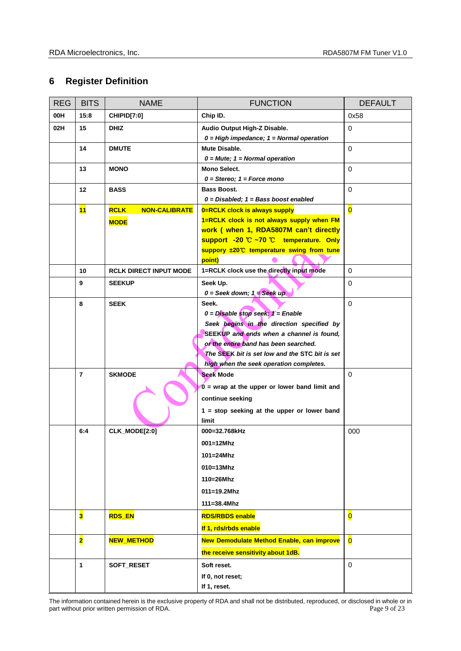## <span id="page-8-0"></span>**6 Register Definition**

| <b>REG</b> | <b>BITS</b>             | <b>NAME</b>                                        | <b>FUNCTION</b>                                                                                                                                                                                                                    | <b>DEFAULT</b>          |
|------------|-------------------------|----------------------------------------------------|------------------------------------------------------------------------------------------------------------------------------------------------------------------------------------------------------------------------------------|-------------------------|
| 00H        | 15:8                    | CHIPID[7:0]                                        | Chip ID.                                                                                                                                                                                                                           | 0x58                    |
| 02H        | 15                      | <b>DHIZ</b>                                        | Audio Output High-Z Disable.<br>$0 = High$ impedance; $1 = Normal$ operation                                                                                                                                                       | $\mathbf 0$             |
|            | 14                      | <b>DMUTE</b>                                       | Mute Disable.<br>$0 = Mute$ ; 1 = Normal operation                                                                                                                                                                                 | $\mathbf 0$             |
|            | 13                      | <b>MONO</b>                                        | <b>Mono Select.</b><br>$0 =$ Stereo; $1 =$ Force mono                                                                                                                                                                              | $\mathbf 0$             |
|            | 12                      | <b>BASS</b>                                        | <b>Bass Boost.</b><br>$0 = Disabled$ ; $1 = Bass boost enabled$                                                                                                                                                                    | $\Omega$                |
|            | 11                      | <b>RCLK</b><br><b>NON-CALIBRATE</b><br><b>MODE</b> | 0=RCLK clock is always supply<br>1=RCLK clock is not always supply when FM<br>work ( when 1, RDA5807M can't directly<br>support -20 °C ~70 °C temperature. Only<br>suppory ±20°C temperature swing from tune<br>point)             | $\overline{\mathbf{0}}$ |
|            | 10                      | <b>RCLK DIRECT INPUT MODE</b>                      | 1=RCLK clock use the directly input mode                                                                                                                                                                                           | $\mathbf 0$             |
|            | 9                       | <b>SEEKUP</b>                                      | Seek Up.<br>$0 =$ Seek down; $1 =$ Seek up                                                                                                                                                                                         | 0                       |
|            | 8                       | <b>SEEK</b>                                        | Seek.<br>$0 =$ Disable stop seek; $1 =$ Enable<br>Seek begins in the direction specified by<br>SEEKUP and ends when a channel is found,<br>or the entire band has been searched.<br>The SEEK bit is set low and the STC bit is set | $\Omega$                |
|            | $\overline{7}$          | <b>SKMODE</b>                                      | high when the seek operation completes.<br><b>Seek Mode</b><br>$0 =$ wrap at the upper or lower band limit and<br>continue seeking<br>$1 = stop$ seeking at the upper or lower band<br>limit                                       | $\Omega$                |
|            | 6:4                     | CLK_MODE[2:0]                                      | 000=32.768kHz<br>001=12Mhz<br>$101 = 24$ Mhz<br>$010=13M$ hz<br>110=26Mhz<br>$011 = 19.2$ Mhz<br>$111 = 38.4$ Mhz                                                                                                                  | 000                     |
|            | $\overline{\mathbf{3}}$ | <b>RDS_EN</b>                                      | <b>RDS/RBDS enable</b><br>If 1, rds/rbds enable                                                                                                                                                                                    | $\overline{\mathbf{0}}$ |
|            | $\overline{\mathbf{2}}$ | <b>NEW_METHOD</b>                                  | New Demodulate Method Enable, can improve<br>the receive sensitivity about 1dB.                                                                                                                                                    | $\overline{\mathbf{0}}$ |
|            | 1                       | SOFT_RESET                                         | Soft reset.<br>If 0, not reset;<br>If 1, reset.                                                                                                                                                                                    | $\mathbf 0$             |

The information contained herein is the exclusive property of RDA and shall not be distributed, reproduced, or disclosed in whole or in part without prior written permission of RDA. part without prior written permission of RDA.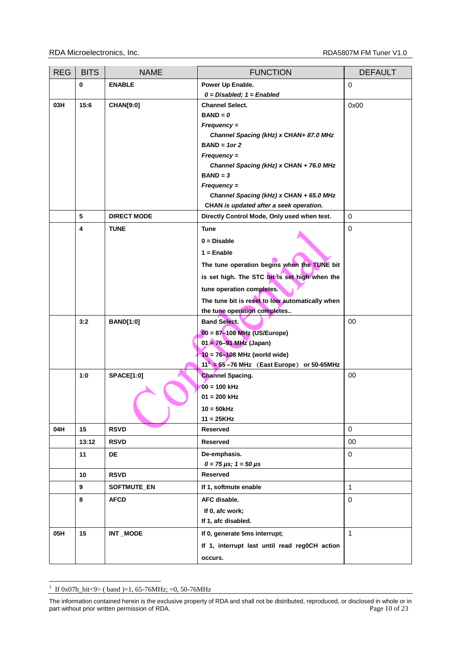| <b>REG</b> | <b>BITS</b> | <b>NAME</b>        | <b>FUNCTION</b>                                       | <b>DEFAULT</b> |
|------------|-------------|--------------------|-------------------------------------------------------|----------------|
|            | $\pmb{0}$   | <b>ENABLE</b>      | Power Up Enable.                                      | $\mathbf 0$    |
|            |             |                    | $0 = Disabeled; 1 = Enabled$                          |                |
| 03H        | 15:6        | <b>CHAN[9:0]</b>   | <b>Channel Select.</b>                                | 0x00           |
|            |             |                    | $BAND = 0$                                            |                |
|            |             |                    | Frequency =                                           |                |
|            |             |                    | Channel Spacing (kHz) x CHAN+ 87.0 MHz                |                |
|            |             |                    | $BAND = 1$ or 2                                       |                |
|            |             |                    | Frequency =                                           |                |
|            |             |                    | Channel Spacing (kHz) x CHAN + 76.0 MHz<br>$BAND = 3$ |                |
|            |             |                    | $Frequency =$                                         |                |
|            |             |                    | Channel Spacing (kHz) x CHAN + 65.0 MHz               |                |
|            |             |                    | CHAN is updated after a seek operation.               |                |
|            | 5           | <b>DIRECT MODE</b> | Directly Control Mode, Only used when test.           | $\mathbf 0$    |
|            | 4           | <b>TUNE</b>        | Tune                                                  | $\mathbf 0$    |
|            |             |                    | $0 = Disable$                                         |                |
|            |             |                    | $1 =$ Enable                                          |                |
|            |             |                    | The tune operation begins when the TUNE bit           |                |
|            |             |                    | is set high. The STC bit is set high when the         |                |
|            |             |                    | tune operation completes.                             |                |
|            |             |                    | The tune bit is reset to low automatically when       |                |
|            |             |                    | the tune operation completes                          |                |
|            | 3:2         | <b>BAND[1:0]</b>   | <b>Band Select.</b>                                   | 00             |
|            |             |                    | $00 = 87 - 108$ MHz (US/Europe)                       |                |
|            |             |                    | $01 = 76 - 91$ MHz (Japan)                            |                |
|            |             |                    | $10 = 76 - 108$ MHz (world wide)                      |                |
|            |             |                    | $11'$ = 65 -76 MHz (East Europe) or 50-65MHz          |                |
|            | 1:0         | <b>SPACE[1:0]</b>  | <b>Channel Spacing.</b>                               | 00             |
|            |             |                    | $00 = 100$ kHz                                        |                |
|            |             |                    | $01 = 200$ kHz                                        |                |
|            |             |                    | $10 = 50$ kHz                                         |                |
|            |             |                    | $11 = 25KHz$                                          |                |
| 04H        | 15          | <b>RSVD</b>        | Reserved                                              | $\mathbf 0$    |
|            | 13:12       | <b>RSVD</b>        | Reserved                                              | 00             |
|            | 11          | DE                 | De-emphasis.                                          | 0              |
|            | 10          | <b>RSVD</b>        | $0 = 75 \,\mu s$ ; 1 = 50 $\mu s$<br>Reserved         |                |
|            | 9           | <b>SOFTMUTE_EN</b> | If 1, softmute enable                                 | $\mathbf{1}$   |
|            | 8           | <b>AFCD</b>        | AFC disable.                                          | $\mathbf 0$    |
|            |             |                    |                                                       |                |
|            |             |                    | If 0, afc work;<br>If 1, afc disabled.                |                |
| 05H        | 15          | INT MODE           | If 0, generate 5ms interrupt;                         | $\mathbf{1}$   |
|            |             |                    | If 1, interrupt last until read reg0CH action         |                |
|            |             |                    |                                                       |                |
|            |             |                    | occurs.                                               |                |

 1 If 0x07h\_bit<9> ( band )=1, 65-76MHz; =0, 50-76MHz

The information contained herein is the exclusive property of RDA and shall not be distributed, reproduced, or disclosed in whole or in part without prior written permission of RDA. part without prior written permission of RDA.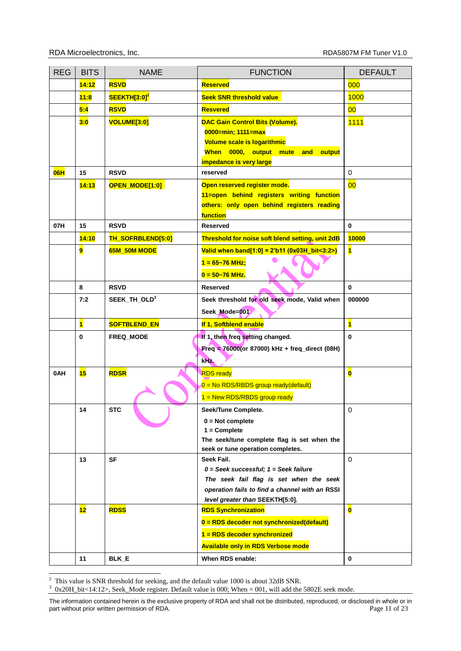| <b>REG</b> | <b>BITS</b>    | <b>NAME</b>              | <b>FUNCTION</b>                                                                   | <b>DEFAULT</b>          |
|------------|----------------|--------------------------|-----------------------------------------------------------------------------------|-------------------------|
|            | 14:12          | <b>RSVD</b>              | <b>Reserved</b>                                                                   | 000                     |
|            | 11:8           | SEEKTH[3:0] <sup>2</sup> | <b>Seek SNR threshold value</b>                                                   | 1000                    |
|            | 5:4            | <b>RSVD</b>              | <b>Resvered</b>                                                                   | 00                      |
|            | 3:0            | <b>VOLUME[3:0]</b>       | <b>DAC Gain Control Bits (Volume).</b>                                            | <b>1111</b>             |
|            |                |                          | 0000=min; 1111=max                                                                |                         |
|            |                |                          | Volume scale is logarithmic                                                       |                         |
|            |                |                          | When 0000, output mute<br>and<br>output                                           |                         |
|            |                |                          | impedance is very large                                                           |                         |
| <b>06H</b> | 15             | <b>RSVD</b>              | reserved                                                                          | $\Omega$                |
|            | 14:13          | OPEN_MODE[1:0]           | Open reserved register mode.                                                      | 00                      |
|            |                |                          | 11=open behind registers writing function                                         |                         |
|            |                |                          | others: only open behind registers reading<br>function                            |                         |
| 07H        | 15             | <b>RSVD</b>              | <b>Reserved</b>                                                                   | $\mathbf{0}$            |
|            | 14:10          | TH_SOFRBLEND[5:0]        | Threshold for noise soft blend setting, unit 2dB                                  | 10000                   |
|            | 9              | <b>65M 50M MODE</b>      | Valid when band[1:0] = $2^\prime$ b11 (0x03H_bit<3:2>)                            | $\overline{\mathbf{1}}$ |
|            |                |                          | $1 = 65 - 76$ MHz;                                                                |                         |
|            |                |                          |                                                                                   |                         |
|            |                |                          | $0 = 50 - 76$ MHz.                                                                |                         |
|            | 8              | <b>RSVD</b>              | <b>Reserved</b>                                                                   | $\mathbf{0}$            |
|            | 7:2            | SEEK_TH_OLD <sup>3</sup> | Seek threshold for old seek mode, Valid when                                      | 000000                  |
|            |                |                          | Seek_Mode=001                                                                     |                         |
|            | $\blacksquare$ | <b>SOFTBLEND EN</b>      | If 1, Softblend enable                                                            | $\overline{\mathbf{1}}$ |
|            | $\mathbf 0$    | <b>FREQ MODE</b>         | If 1, then freq setting changed.                                                  | $\mathbf{0}$            |
|            |                |                          | Freq = $76000$ (or 87000) kHz + freq_direct (08H)                                 |                         |
|            |                |                          | kHz.                                                                              |                         |
| 0AH        | 15             | <b>RDSR</b>              | <b>RDS</b> ready                                                                  | $\overline{\mathbf{0}}$ |
|            |                |                          | $0 = No RDS/RBDS$ group ready(default)                                            |                         |
|            |                |                          | $1 =$ New RDS/RBDS group ready                                                    |                         |
|            | 14             | <b>STC</b>               | Seek/Tune Complete.                                                               | $\mathbf 0$             |
|            |                |                          | $0 = Not complete$                                                                |                         |
|            |                |                          | $1 =$ Complete                                                                    |                         |
|            |                |                          | The seek/tune complete flag is set when the                                       |                         |
|            |                |                          | seek or tune operation completes.                                                 |                         |
|            | 13             | SF                       | Seek Fail.                                                                        | 0                       |
|            |                |                          | $0 =$ Seek successful; $1 =$ Seek failure                                         |                         |
|            |                |                          | The seek fail flag is set when the seek                                           |                         |
|            |                |                          | operation fails to find a channel with an RSSI<br>level greater than SEEKTH[5:0]. |                         |
|            | 12             | <b>RDSS</b>              | <b>RDS Synchronization</b>                                                        | $\overline{\mathbf{0}}$ |
|            |                |                          | 0 = RDS decoder not synchronized(default)                                         |                         |
|            |                |                          | 1 = RDS decoder synchronized                                                      |                         |
|            |                |                          |                                                                                   |                         |
|            |                |                          | <b>Available only in RDS Verbose mode</b>                                         |                         |
|            | 11             | BLK_E                    | When RDS enable:                                                                  | $\mathbf 0$             |

 $\overline{a}$ 

<sup>2</sup> This value is SNR threshold for seeking, and the default value 1000 is about 32dB SNR.<br><sup>3</sup> 0x20H\_bit<14:12>, Seek\_Mode register. Default value is 000; When = 001, will add the 5802E seek mode.

The information contained herein is the exclusive property of RDA and shall not be distributed, reproduced, or disclosed in whole or in part without prior written permission of RDA. part without prior written permission of RDA.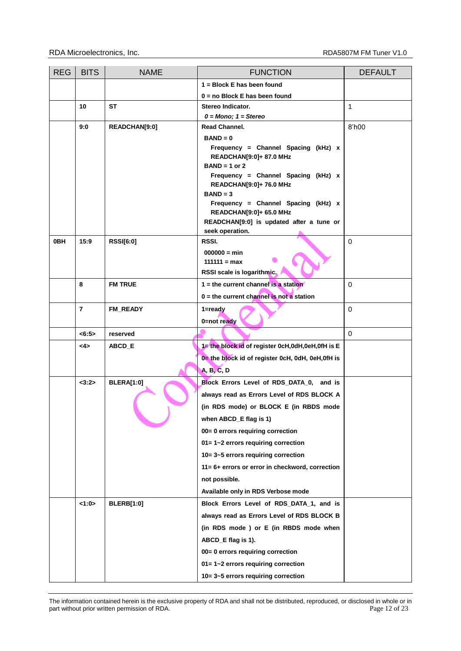| <b>REG</b> | <b>BITS</b>    | <b>NAME</b>       | <b>FUNCTION</b>                                   | <b>DEFAULT</b> |
|------------|----------------|-------------------|---------------------------------------------------|----------------|
|            |                |                   | 1 = Block E has been found                        |                |
|            |                |                   | $0 = no Block E$ has been found                   |                |
|            | 10             | <b>ST</b>         | Stereo Indicator.                                 | $\mathbf{1}$   |
|            |                |                   | $0 =$ Mono; $1 =$ Stereo                          |                |
|            | 9:0            | READCHAN[9:0]     | Read Channel.                                     | 8'h00          |
|            |                |                   | $BAND = 0$<br>Frequency = Channel Spacing (kHz) x |                |
|            |                |                   | READCHAN[9:0]+ 87.0 MHz                           |                |
|            |                |                   | $BAND = 1$ or 2                                   |                |
|            |                |                   | Frequency = Channel Spacing (kHz) x               |                |
|            |                |                   | READCHAN[9:0]+ 76.0 MHz<br>$BAND = 3$             |                |
|            |                |                   | Frequency = Channel Spacing (kHz) x               |                |
|            |                |                   | READCHAN[9:0]+ 65.0 MHz                           |                |
|            |                |                   | READCHAN[9:0] is updated after a tune or          |                |
|            | 15:9           |                   | seek operation.                                   | $\mathbf 0$    |
| 0BH        |                | <b>RSSI[6:0]</b>  | RSSI.<br>$000000 = min$                           |                |
|            |                |                   | $111111 = max$                                    |                |
|            |                |                   | RSSI scale is logarithmic.                        |                |
|            | 8              | <b>FM TRUE</b>    | $1 =$ the current channel is a station            | 0              |
|            |                |                   | $0 =$ the current channel is not a station        |                |
|            | $\overline{7}$ | FM_READY          | 1=ready                                           | 0              |
|            |                |                   | 0=not ready                                       |                |
|            | <6:5>          | reserved          |                                                   | $\Omega$       |
|            | <4>            | ABCD_E            | 1= the block id of register 0cH,0dH,0eH,0fH is E  |                |
|            |                |                   | 0= the block id of register 0cH, 0dH, 0eH,0fH is  |                |
|            |                |                   | A, B, C, D                                        |                |
|            | <3:2>          | BLERA[1:0]        | Block Errors Level of RDS_DATA_0, and is          |                |
|            |                |                   | always read as Errors Level of RDS BLOCK A        |                |
|            |                |                   | (in RDS mode) or BLOCK E (in RBDS mode            |                |
|            |                |                   | when ABCD_E flag is 1)                            |                |
|            |                |                   | 00= 0 errors requiring correction                 |                |
|            |                |                   | 01=1~2 errors requiring correction                |                |
|            |                |                   | 10=3~5 errors requiring correction                |                |
|            |                |                   | 11= 6+ errors or error in checkword, correction   |                |
|            |                |                   | not possible.                                     |                |
|            |                |                   | Available only in RDS Verbose mode                |                |
|            | 1:0            | <b>BLERB[1:0]</b> | Block Errors Level of RDS_DATA_1, and is          |                |
|            |                |                   | always read as Errors Level of RDS BLOCK B        |                |
|            |                |                   | (in RDS mode ) or E (in RBDS mode when            |                |
|            |                |                   | ABCD_E flag is 1).                                |                |
|            |                |                   | 00= 0 errors requiring correction                 |                |
|            |                |                   | 01=1~2 errors requiring correction                |                |
|            |                |                   | 10=3~5 errors requiring correction                |                |

The information contained herein is the exclusive property of RDA and shall not be distributed, reproduced, or disclosed in whole or in part without prior written permission of RDA. part without prior written permission of RDA.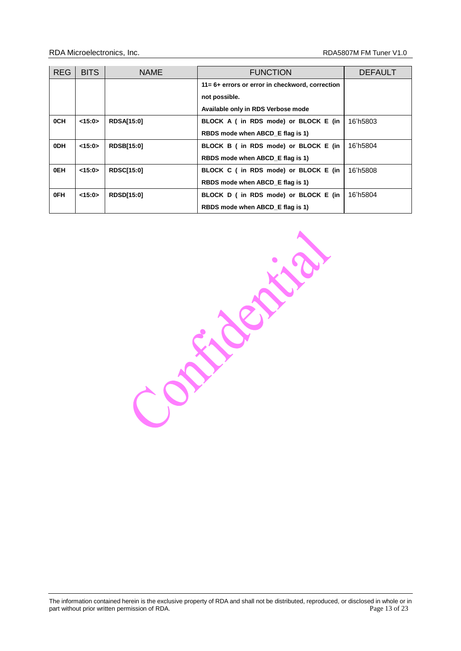| <b>REG</b>      | <b>BITS</b> | <b>NAME</b>       | <b>FUNCTION</b>                                 | <b>DEFAULT</b> |
|-----------------|-------------|-------------------|-------------------------------------------------|----------------|
|                 |             |                   | 11= 6+ errors or error in checkword, correction |                |
|                 |             |                   | not possible.                                   |                |
|                 |             |                   | Available only in RDS Verbose mode              |                |
| 0CH             | <15:0>      | <b>RDSA[15:0]</b> | BLOCK A (in RDS mode) or BLOCK E (in            | 16'h5803       |
|                 |             |                   | RBDS mode when ABCD E flag is 1)                |                |
| 0 <sub>DH</sub> | <15:0>      | <b>RDSB[15:0]</b> | BLOCK B (in RDS mode) or BLOCK E (in            | 16'h5804       |
|                 |             |                   | RBDS mode when ABCD_E flag is 1)                |                |
| 0EH             | <15:0>      | <b>RDSC[15:0]</b> | BLOCK C (in RDS mode) or BLOCK E (in            | 16'h5808       |
|                 |             |                   | RBDS mode when ABCD E flag is 1)                |                |
| 0FH             | <15:0>      | <b>RDSD[15:0]</b> | BLOCK D (in RDS mode) or BLOCK E (in            | 16'h5804       |
|                 |             |                   | RBDS mode when ABCD E flag is 1)                |                |

Consideration

The information contained herein is the exclusive property of RDA and shall not be distributed, reproduced, or disclosed in whole or in part without prior written permission of RDA. **Page 13** of 23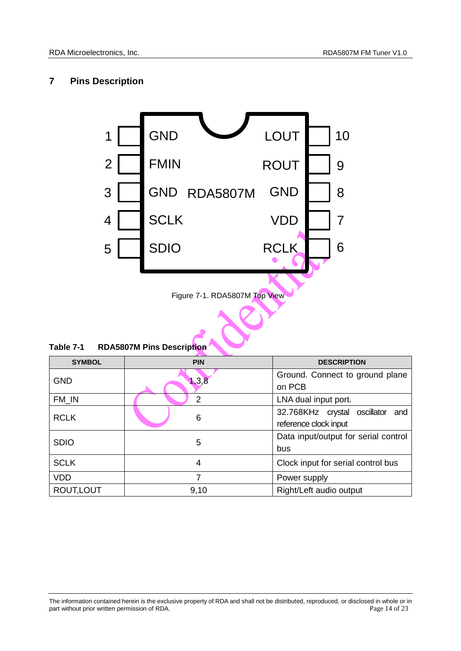## <span id="page-13-0"></span>**7 Pins Description**



Figure 7-1. RDA5807M Top View

| Table 7-1 | <b>RDA5807M Pins Description</b> |  |
|-----------|----------------------------------|--|
|           |                                  |  |

| <b>SYMBOL</b> | <b>PIN</b>     | <b>DESCRIPTION</b>                   |
|---------------|----------------|--------------------------------------|
| <b>GND</b>    | 1, 3, 8        | Ground. Connect to ground plane      |
|               |                | on PCB                               |
| FM_IN         | $\overline{2}$ | LNA dual input port.                 |
| <b>RCLK</b>   | 6              | 32.768KHz crystal oscillator<br>and  |
|               |                | reference clock input                |
| <b>SDIO</b>   | 5              | Data input/output for serial control |
|               |                | bus                                  |
| <b>SCLK</b>   | 4              | Clock input for serial control bus   |
| <b>VDD</b>    |                | Power supply                         |
| ROUT, LOUT    | 9,10           | Right/Left audio output              |

The information contained herein is the exclusive property of RDA and shall not be distributed, reproduced, or disclosed in whole or in part without prior written permission of RDA. <br>
Page 14 of 23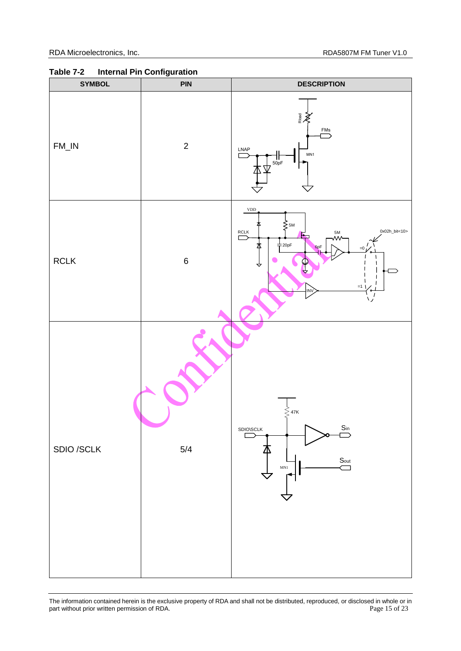

**Table 7-2 Internal Pin Configuration**

The information contained herein is the exclusive property of RDA and shall not be distributed, reproduced, or disclosed in whole or in part without prior written permission of RDA. part without prior written permission of RDA.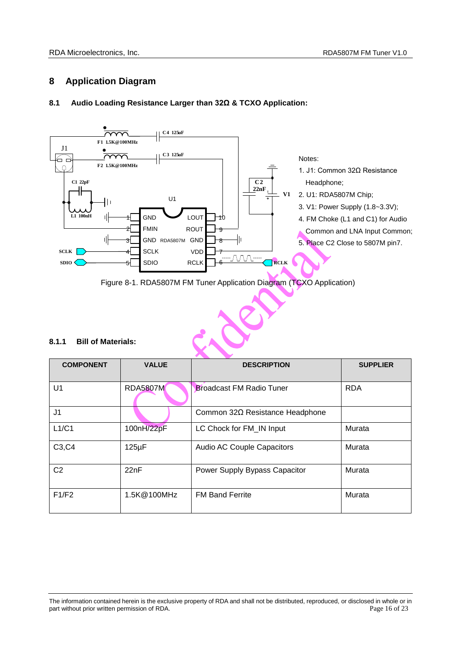## <span id="page-15-0"></span>**8 Application Diagram**

## <span id="page-15-1"></span>**8.1 Audio Loading Resistance Larger than 32Ω & TCXO Application:**





## **8.1.1 Bill of Materials:**

| 8.1.1<br><b>Bill of Materials:</b> |                 |                                 |                 |
|------------------------------------|-----------------|---------------------------------|-----------------|
| <b>COMPONENT</b>                   | <b>VALUE</b>    | <b>DESCRIPTION</b>              | <b>SUPPLIER</b> |
| U1                                 | <b>RDA5807M</b> | <b>Broadcast FM Radio Tuner</b> | <b>RDA</b>      |
| J <sub>1</sub>                     |                 | Common 32Ω Resistance Headphone |                 |
| L1/C1                              | 100nH/22pF      | LC Chock for FM_IN Input        | Murata          |
| C3, C4                             | $125\mu F$      | Audio AC Couple Capacitors      | Murata          |
| C <sub>2</sub>                     | 22nF            | Power Supply Bypass Capacitor   | Murata          |
| F1/F2                              | 1.5K@100MHz     | <b>FM Band Ferrite</b>          | Murata          |

The information contained herein is the exclusive property of RDA and shall not be distributed, reproduced, or disclosed in whole or in part without prior written permission of RDA. **Page 16 of 23** extending the state of 23 and 23 extending the state of 23 and 23 and 24 and 25 and 26 and 26 and 26 and 26 and 26 and 26 and 26 and 26 and 26 and 26 and 26 and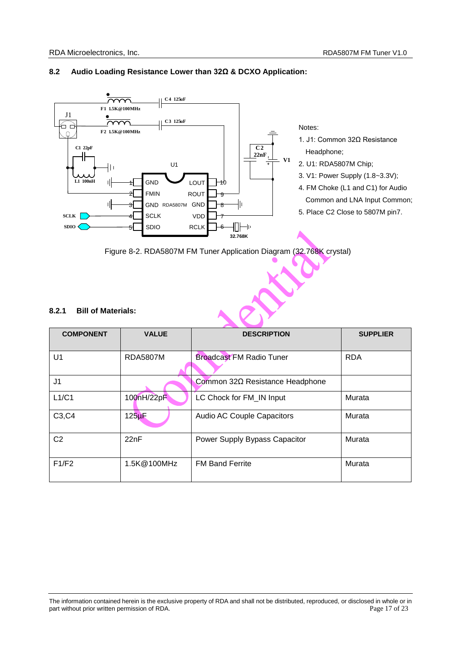

## **8.2 Audio Loading Resistance Lower than 32Ω & DCXO Application:**



#### <span id="page-16-0"></span>**8.2.1 Bill of Materials:**

| <b>COMPONENT</b>                | <b>VALUE</b>         | <b>DESCRIPTION</b>                | <b>SUPPLIER</b> |
|---------------------------------|----------------------|-----------------------------------|-----------------|
| U <sub>1</sub>                  | <b>RDA5807M</b>      | <b>Broadcast FM Radio Tuner</b>   | <b>RDA</b>      |
| J <sub>1</sub>                  |                      | Common 32Ω Resistance Headphone   |                 |
| L1/C1                           | 100nH/22pF           | LC Chock for FM IN Input          | Murata          |
| C <sub>3</sub> , C <sub>4</sub> | $125$ <sub>u</sub> F | <b>Audio AC Couple Capacitors</b> | Murata          |
| C <sub>2</sub>                  | 22nF                 | Power Supply Bypass Capacitor     | Murata          |
| F1/F2                           | 1.5K@100MHz          | <b>FM Band Ferrite</b>            | Murata          |

The information contained herein is the exclusive property of RDA and shall not be distributed, reproduced, or disclosed in whole or in part without prior written permission of RDA. Page 17 of 23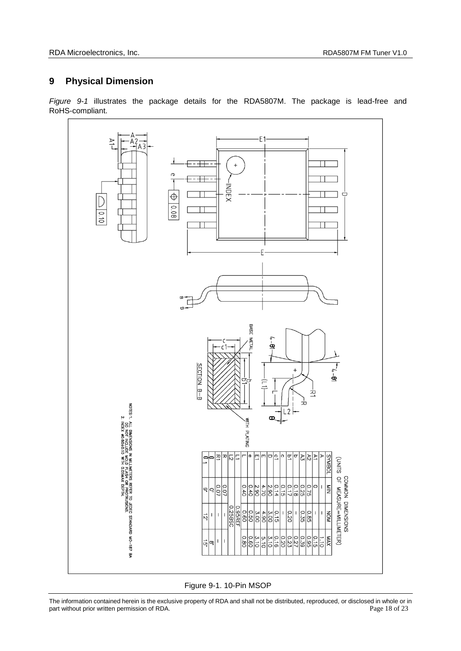## <span id="page-17-0"></span>**9 Physical Dimension**

*Figure 9-1* illustrates the package details for the RDA5807M. The package is lead-free and RoHS-compliant.



Figure 9-1. 10-Pin MSOP

The information contained herein is the exclusive property of RDA and shall not be distributed, reproduced, or disclosed in whole or in part without prior written permission of RDA. <br>
Page 18 of 23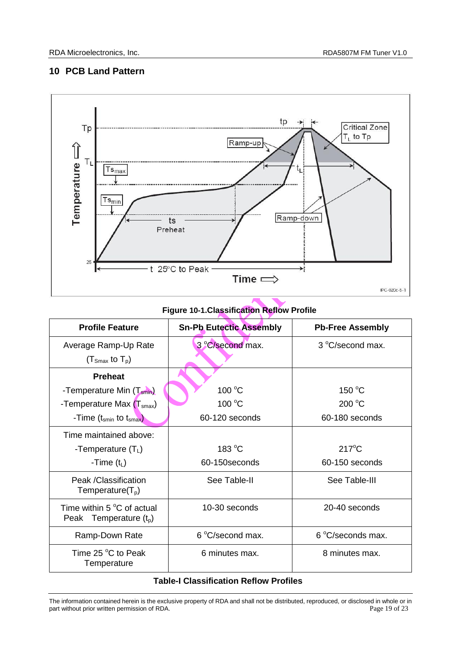## <span id="page-18-0"></span>**10 PCB Land Pattern**



## **Figure 10-1.Classification Reflow Profile**

| <b>Profile Feature</b>                         | <b>Sn-Pb Eutectic Assembly</b> | <b>Pb-Free Assembly</b> |
|------------------------------------------------|--------------------------------|-------------------------|
| Average Ramp-Up Rate                           | 3 °C/second max.               | 3 °C/second max.        |
| $(T_{\text{Smax}}$ to $T_{\text{p}})$          |                                |                         |
| <b>Preheat</b>                                 |                                |                         |
| -Temperature Min (T <sub>smin</sub> )          | $100^{\circ}$ C                | 150 $\degree$ C         |
| -Temperature Max (T <sub>smax</sub> )          | 100 $\degree$ C                | 200 °C                  |
| -Time $(t_{\text{smin}}$ to $t_{\text{smax}})$ | 60-120 seconds                 | 60-180 seconds          |
| Time maintained above:                         |                                |                         |
| -Temperature $(T_L)$                           | 183 °C                         | $217^{\circ}$ C         |
| -Time $(tL)$                                   | 60-150 seconds                 | 60-150 seconds          |
| Peak / Classification<br>Temperature $(T_p)$   | See Table-II                   | See Table-III           |
| Time within $5^{\circ}$ C of actual            | 10-30 seconds                  | 20-40 seconds           |
| Peak Temperature $(t_0)$                       |                                |                         |
| Ramp-Down Rate                                 | 6 °C/second max.               | 6 °C/seconds max.       |
| Time 25 °C to Peak<br>Temperature              | 6 minutes max.                 | 8 minutes max.          |

## **Table-I Classification Reflow Profiles**

The information contained herein is the exclusive property of RDA and shall not be distributed, reproduced, or disclosed in whole or in part without prior written permission of RDA. part without prior written permission of RDA.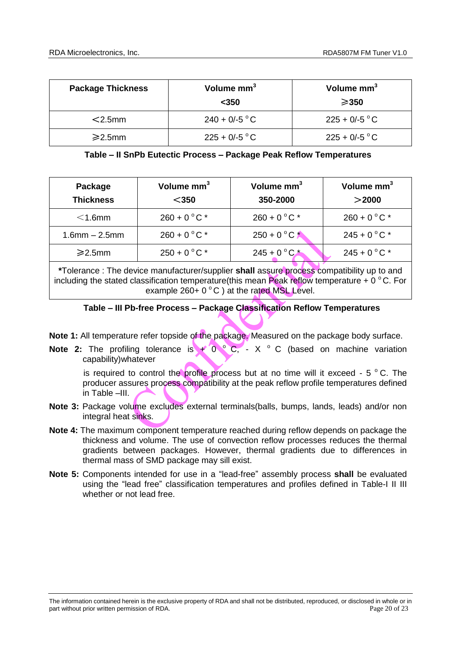| <b>Package Thickness</b> | Volume mm <sup>3</sup><br>$<$ 350 | Volume mm <sup>3</sup><br>$\geqslant$ 350 |
|--------------------------|-----------------------------------|-------------------------------------------|
| $<$ 2.5mm                | $240 + 0/ -5$ °C                  | $225 + 0/ -5$ °C                          |
| $\geq$ 2.5mm             | $225 + 0/-5$ °C                   | $225 + 0/ -5$ °C                          |

## **Table – II SnPb Eutectic Process – Package Peak Reflow Temperatures**

| Package<br><b>Thickness</b> | Volume mm <sup>3</sup><br>$350$ | Volume $mm3$<br>350-2000 | Volume mm <sup>3</sup><br>$>$ 2000 |
|-----------------------------|---------------------------------|--------------------------|------------------------------------|
| $<$ 1.6mm                   | $260 + 0 °C$ *                  | $260 + 0 °C$             | $260 + 0 °C$ *                     |
| $1.6$ mm $- 2.5$ mm         | $260 + 0 °C$                    | $250 + 0 °C$             | $245 + 0$ °C *                     |
| $\geq$ 2.5mm                | $250 + 0 °C$ *                  | $245 + 0 °C^*$           | $245 + 0 °C$ *                     |

**\***Tolerance : The device manufacturer/supplier **shall** assure process compatibility up to and including the stated classification temperature(this mean Peak reflow temperature +  $0^{\circ}$ C. For example  $260+0\degree C$  ) at the rated MSL Level.

## **Table – III Pb-free Process – Package Classification Reflow Temperatures**

**Note 1:** All temperature refer topside of the package. Measured on the package body surface.

**Note 2:** The profiling tolerance is  $+ 0$   $\circ$  C, - X  $\circ$  C (based on machine variation capability)whatever

is required to control the profile process but at no time will it exceed  $-5$  °C. The producer assures process compatibility at the peak reflow profile temperatures defined in Table –III.

- **Note 3:** Package volume excludes external terminals(balls, bumps, lands, leads) and/or non integral heat sinks.
- **Note 4:** The maximum component temperature reached during reflow depends on package the thickness and volume. The use of convection reflow processes reduces the thermal gradients between packages. However, thermal gradients due to differences in thermal mass of SMD package may sill exist.
- **Note 5:** Components intended for use in a "lead-free" assembly process **shall** be evaluated using the "lead free" classification temperatures and profiles defined in Table-I II III whether or not lead free.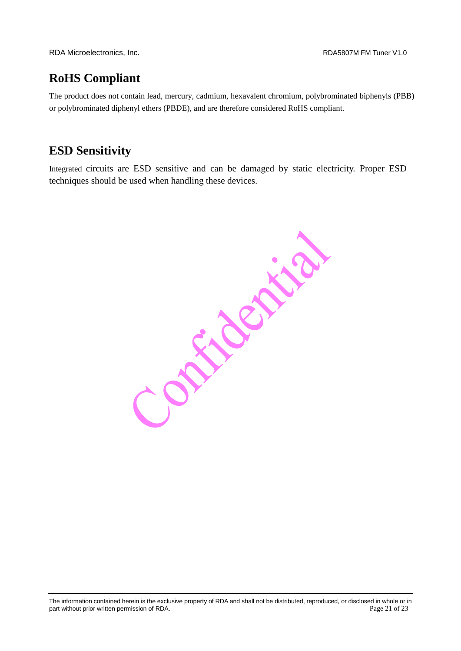## **RoHS Compliant**

The product does not contain lead, mercury, cadmium, hexavalent chromium, polybrominated biphenyls (PBB) or polybrominated diphenyl ethers (PBDE), and are therefore considered RoHS compliant.

## **ESD Sensitivity**

Integrated circuits are ESD sensitive and can be damaged by static electricity. Proper ESD techniques should be used when handling these devices.

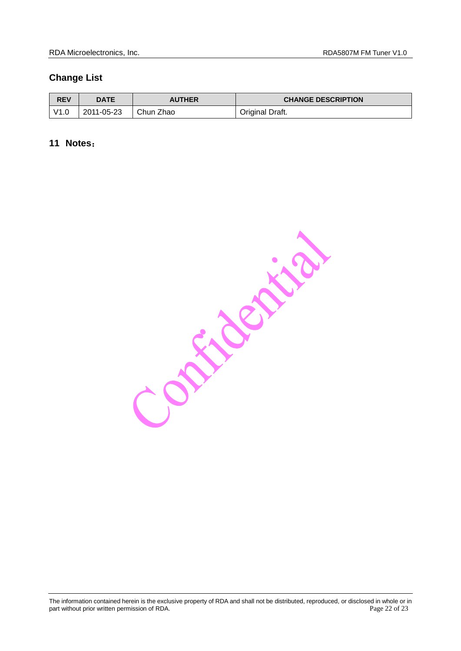## <span id="page-21-0"></span>**Change List**

| <b>REV</b> | DATE       | <b>AUTHER</b> | <b>CHANGE DESCRIPTION</b> |
|------------|------------|---------------|---------------------------|
| V1.0       | 2011-05-23 | Chun Zhao     | Original Draft.           |

## <span id="page-21-1"></span>**11 Notes**:

Contraction

The information contained herein is the exclusive property of RDA and shall not be distributed, reproduced, or disclosed in whole or in part without prior written permission of RDA. **Page 22 of 23** and 20 of 23 and 20 of 23 and 20 of 23 and 20 of 23